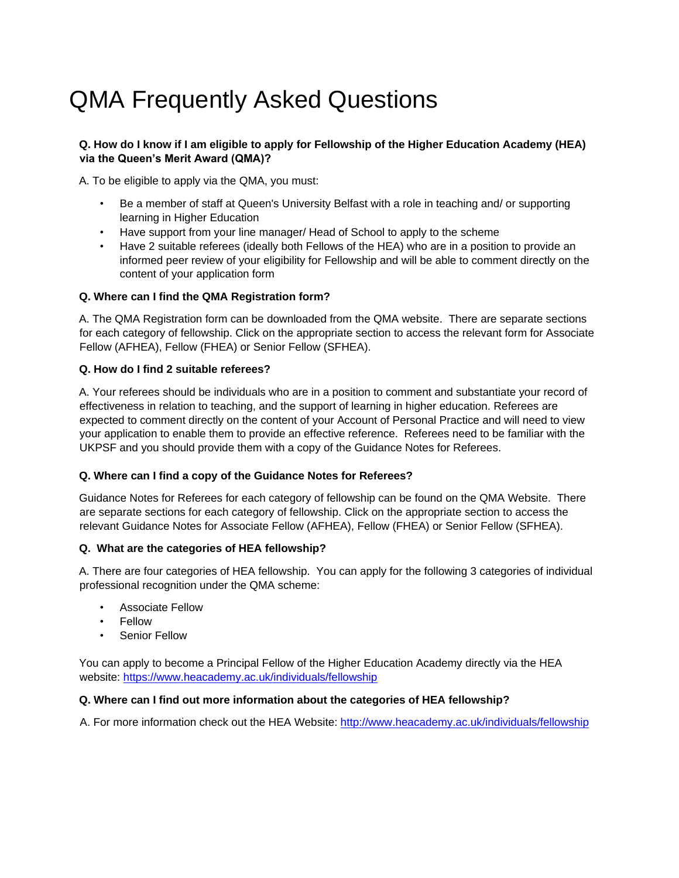# QMA Frequently Asked Questions

#### **Q. How do I know if I am eligible to apply for Fellowship of the Higher Education Academy (HEA) via the Queen's Merit Award (QMA)?**

A. To be eligible to apply via the QMA, you must:

- Be a member of staff at Queen's University Belfast with a role in teaching and/ or supporting learning in Higher Education
- Have support from your line manager/ Head of School to apply to the scheme
- Have 2 suitable referees (ideally both Fellows of the HEA) who are in a position to provide an informed peer review of your eligibility for Fellowship and will be able to comment directly on the content of your application form

## **Q. Where can I find the QMA Registration form?**

A. The QMA Registration form can be downloaded from the QMA website. There are separate sections for each category of fellowship. Click on the appropriate section to access the relevant form for Associate Fellow (AFHEA), Fellow (FHEA) or Senior Fellow (SFHEA).

## **Q. How do I find 2 suitable referees?**

A. Your referees should be individuals who are in a position to comment and substantiate your record of effectiveness in relation to teaching, and the support of learning in higher education. Referees are expected to comment directly on the content of your Account of Personal Practice and will need to view your application to enable them to provide an effective reference. Referees need to be familiar with the UKPSF and you should provide them with a copy of the [Guidance Notes for Referees.](https://www.heacademy.ac.uk/professional-recognition/hea-fellowships/become-associate-fellow-hea) 

#### **Q. Where can I find a copy of the Guidance Notes for Referees?**

Guidance Notes for Referees for each category of fellowship can be found on the QMA Website. There are separate sections for each category of fellowship. Click on the appropriate section to access the relevant Guidance Notes for Associate Fellow (AFHEA), Fellow (FHEA) or Senior Fellow (SFHEA).

#### **Q. What are the categories of HEA fellowship?**

A. There are four categories of HEA fellowship. You can apply for the following 3 categories of individual professional recognition under the QMA scheme:

- Associate Fellow
- **Fellow**
- Senior Fellow

You can apply to become a Principal Fellow of the Higher Education Academy directly via the HEA website:<https://www.heacademy.ac.uk/individuals/fellowship>

#### **Q. Where can I find out more information about the categories of HEA fellowship?**

A. For more information check out the HEA Website[:](http://www.heacademy.ac.uk/individuals/fellowship) <http://www.heacademy.ac.uk/individuals/fellowship>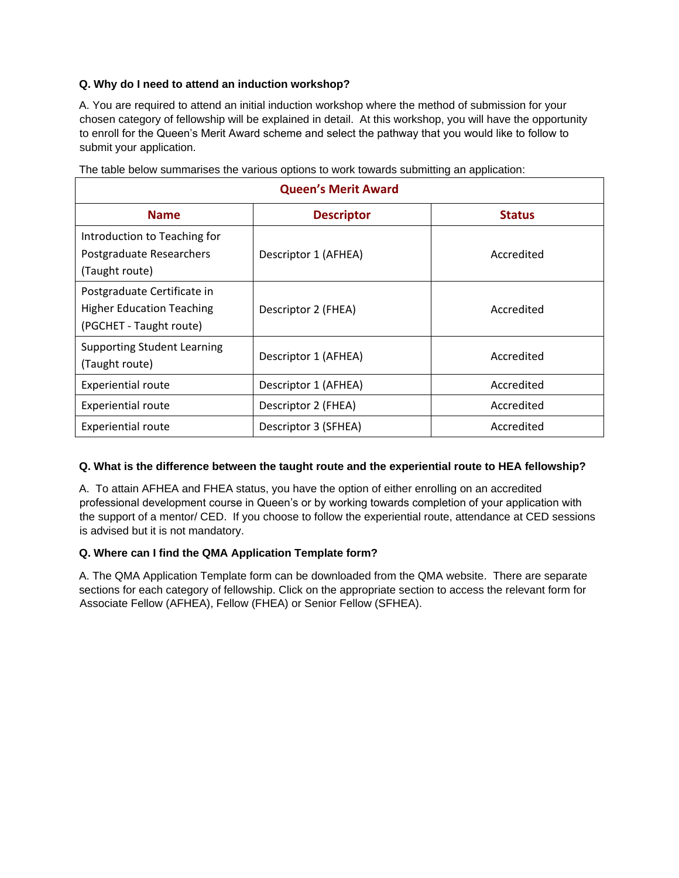## **Q. Why do I need to attend an induction workshop?**

A. You are required to attend an initial induction workshop where the method of submission for your chosen category of fellowship will be explained in detail. At this workshop, you will have the opportunity to enroll for the Queen's Merit Award scheme and select the pathway that you would like to follow to submit your application.

| <b>Queen's Merit Award</b>                                                                 |                      |               |
|--------------------------------------------------------------------------------------------|----------------------|---------------|
| <b>Name</b>                                                                                | <b>Descriptor</b>    | <b>Status</b> |
| Introduction to Teaching for<br>Postgraduate Researchers<br>(Taught route)                 | Descriptor 1 (AFHEA) | Accredited    |
| Postgraduate Certificate in<br><b>Higher Education Teaching</b><br>(PGCHET - Taught route) | Descriptor 2 (FHEA)  | Accredited    |
| <b>Supporting Student Learning</b><br>(Taught route)                                       | Descriptor 1 (AFHEA) | Accredited    |
| <b>Experiential route</b>                                                                  | Descriptor 1 (AFHEA) | Accredited    |
| <b>Experiential route</b>                                                                  | Descriptor 2 (FHEA)  | Accredited    |
| <b>Experiential route</b>                                                                  | Descriptor 3 (SFHEA) | Accredited    |

The table below summarises the various options to work towards submitting an application:

#### **Q. What is the difference between the taught route and the experiential route to HEA fellowship?**

A. To attain AFHEA and FHEA status, you have the option of either enrolling on an accredited professional development course in Queen's or by working towards completion of your application with the support of a mentor/ CED. If you choose to follow the experiential route, attendance at CED sessions is advised but it is not mandatory.

#### **Q. Where can I find the QMA Application Template form?**

A. The QMA Application Template form can be downloaded from the QMA website. There are separate sections for each category of fellowship. Click on the appropriate section to access the relevant form for Associate Fellow (AFHEA), Fellow (FHEA) or Senior Fellow (SFHEA).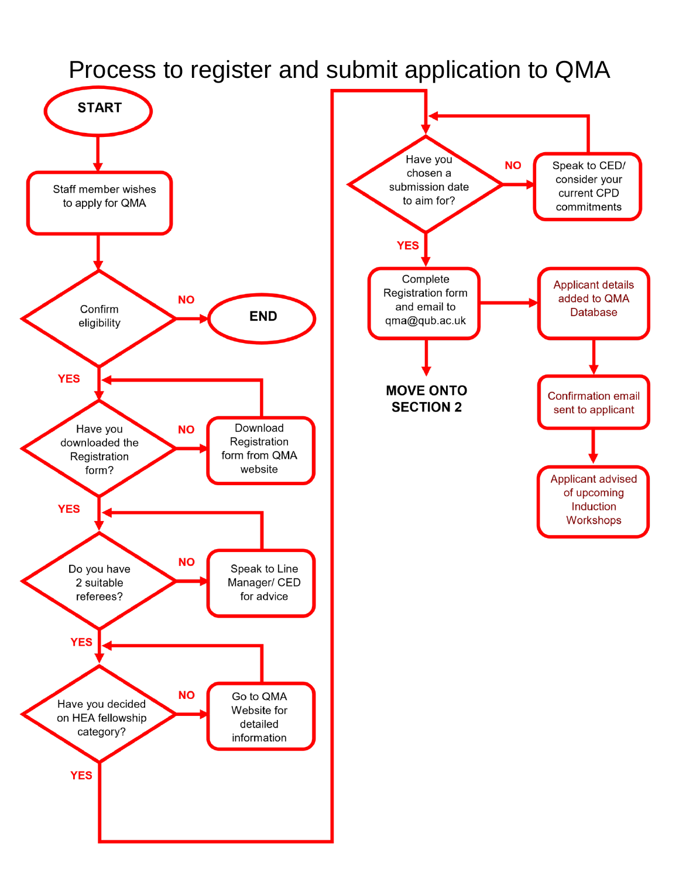